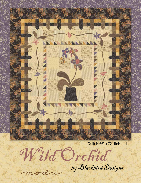

Quilt is 66" x 72" finished. by Blackbird Designs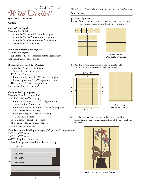

Quilt is 66" x 72" unfinished.

### **Cutting**

### **Golds–6 Fat Eighths**

From the Fat Eighths, cut a total of  $8-2\frac{1}{2}$ " x 21" strips for strip sets cut a total of  $20-2\frac{1}{2}$ " squares for corner units cut a total of 9–3" squares for half triangle squares Use the remainder for appliqué

## **Pinks and Purples–9 Fat Eighths**

From the Fat Eighths, cut a total of 12–3" squares for half triangle squares Use the remainder for appliqué

# **Blacks and Browns–8 Fat Quarters**

From the Fat Quarters, cut a total of 8–21/2" x 21" strips for strip sets 14–21/2" x 21" strips From the strips, cut  $30-2\frac{1}{2}$ " x  $6\frac{1}{2}$ " rectangles for fence posts and 12–21/2" squares for border 11–3" squares for half triangle squares Use the remainder for appliqué

## **Creams–6 – 7/8 yard pieces**

From the 7/8 yards, cut a total of 8–61/2" x width of fabric strips From the strips, cut 48-6½" background squares 4–21/2" x width of fabric strips From the strips, cut  $8-2\frac{1}{2}$ " x 21" strips for strip sets  $4-1\frac{1}{2}$ " x width of fabric strips From the strips, cut  $2-1\frac{1}{2}$ " x  $26\frac{1}{2}$ " and

2-11/2" x 301/2 strips

- $60-1\frac{1}{2}$ " squares for fence post tops
- 31–3" squares for half triangle squares
- 4–21/2" squares for corners

**Final Border and Binding** *Cut length of the fabric. See diagram below.*

- 2–61/2" x 661/2" strips
- 2–61/2" x 601/2" strips
- $4-2\frac{1}{2}$ " x length of fabric strips

Sew the strips end-to-end to make the binding.



*Use ¼" seams. Press in the direction of the arrows in the diagrams.*

### **Construction**

**1** Center Appliqué<br>
(A) Arrange and sew 5 rows of 4 assorted cream 6½" squares. Press the rows in alternating directions. Join the rows.





Center is now 241/2" x 301/2" unfinished.

(B) Add 1½" x 30½" cream strips to the center sides, add  $1\frac{1}{2}$ " x  $26\frac{1}{2}$ " cream strips to the top and bottom.





Center is now 261/2" x 321/2" unfinished.

(C) Use the enclosed templates, to cut the center orchid from assorted prints. Use your appliqué method of choice to appliqué the orchid.



Quilt is now 261/2" x 321/2" unfinished.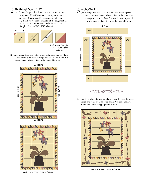2 **Half-Triangle Squares (HTS)** <br>3 **Appliqué Border** <br>3 **Appliqué Border** <br>3 **Appliqué Border** <br>3 **Appliqué Border** wrong side of 31–3" assorted cream squares. Layer a marked 3" cream and 3" dark square right sides together. Sew 1/4" from both sides of the diagonal line. Cut on the drawn line. Press to the dark to reveal 2 triangles. Trim to 2%" x 2%". Make 62.



Half-Square Triangles 27/8" x 27/8" unfinished Make 62.

(B) Arrange and sew the 16 HTSs in a column as shown. Make 2. Sew to the quilt sides. Arrange and sew the 15 HTSs in a row as shown. Make 2. Sew to the top and bottom.



Quilt is now 301/2" x 361/2" unfinished.

(A) Arrange and sew the  $6-6\frac{1}{2}$ " assorted cream squares in a column as shown. Make 2. Sew to the quilt sides. Arrange and sew the  $7-6\frac{1}{2}$ " assorted cream squares in a row as shown. Make 2. Sew to the top and bottom.





(B) Use the enclosed border templates to cut the orchids, buds, leaves, and vines from assorted prints. Use your appliqué method of choice to appliqué the border.



Ouilt is now 421/2" x 481/2" unfinished.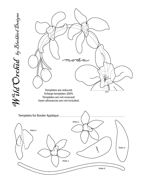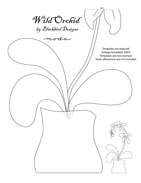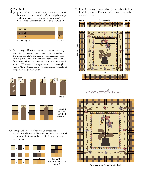$4 \nvert_{\text{(A) join } 1-2\frac{1}{2}^{\text{''}} \times 21^{\text{''}}}$  assorted cream,  $1-2\frac{1}{2}^{\text{''}} \times 21^{\text{''}}}$  assorted brown or black, and 1–21/2" x 21" assorted yellow strip as show to make 1 strip set. Make 8 strip sets. Cut 8–21/2" wide segments from EACH strip set. Cut 60.

| $2\frac{1}{2}$ x 21" |         |
|----------------------|---------|
| $2\frac{1}{2}$ x 21" |         |
| $2\frac{1}{2}$ x 21" |         |
| Make 8 strip sets.   | Cut 60. |

(B) Draw a diagonal line from corner to corner on the wrong side of 60-1½" assorted cream squares. Layer a marked 1½" cream and  $2\frac{1}{2}$ " x 6½" brown or black rectangle right sides together as shown. Sew on the diagonal line. Trim 1/4" from the sewn line. Press to reveal the triangle. Repeat with another  $1\frac{1}{2}$ " marked cream square on the same rectangle as shown. Make 30 fence posts. Sew a segment to both sides of the post. Make 30 fence units.



(C) Arrange and sew 5-21/2" assorted yellow squares,  $3-2\frac{1}{2}$ " assorted brown or black squares, and  $1-2\frac{1}{2}$ " assorted cream square in 3 rows as shown. Join the rows. Make 4 corner units.





Corner Unit  $6\frac{1}{2}$ " x  $6\frac{1}{2}$ " unfinished Make 4.

(D) Join 8 fence units as shown, Make 2. Sew to the quilt sides. Join 7 fence units and 2 corner units as shown. Sew to the top and bottom.







Quilt is now 541/2" x 601/2" unfinished.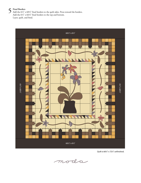5 Final Borders<br>
Add the 6<sup>1</sup>/<sub>2</sub>" x 60<sup>1</sup>/<sub>2</sub>" final borders to the quilt sides. Press toward the borders. Add the  $6\frac{1}{2}$ " x  $66\frac{1}{2}$ " final borders to the top and bottom. Layer, quilt, and bind.



Quilt is 66½" x 72½" unfinished.

moda